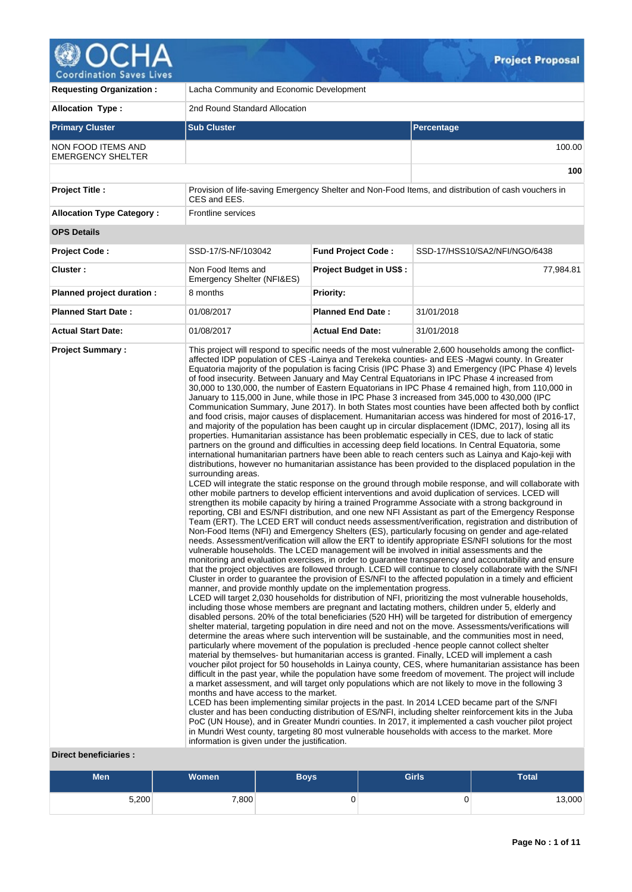

v

| <b>Requesting Organization:</b>                       | Lacha Community and Economic Development                                                                                                                                           |                                |                                                                                                                                                                                                                                                                                                                                                                                                                                                                                                                                                                                                                                                                                                                                                                                                                                                                                                                                                                                                                                                                                                                                                                                                                                                                                                                                                                                                                                                                                                                                                                                                                                                                                                                                                                                                                                                                                                                                                                                                                                                                                                                                                                                                                                                                                                                                                                                                                                                                                                                                                                                                                                                                                                                                                                                                                                                                                                                                                                                                                                                                                                                                                                                                                                                                                                                                                                                                                                                                                                                                                                                                                                                                                                                                                                                                                                                                                                                                                                                 |  |  |  |  |  |  |  |
|-------------------------------------------------------|------------------------------------------------------------------------------------------------------------------------------------------------------------------------------------|--------------------------------|---------------------------------------------------------------------------------------------------------------------------------------------------------------------------------------------------------------------------------------------------------------------------------------------------------------------------------------------------------------------------------------------------------------------------------------------------------------------------------------------------------------------------------------------------------------------------------------------------------------------------------------------------------------------------------------------------------------------------------------------------------------------------------------------------------------------------------------------------------------------------------------------------------------------------------------------------------------------------------------------------------------------------------------------------------------------------------------------------------------------------------------------------------------------------------------------------------------------------------------------------------------------------------------------------------------------------------------------------------------------------------------------------------------------------------------------------------------------------------------------------------------------------------------------------------------------------------------------------------------------------------------------------------------------------------------------------------------------------------------------------------------------------------------------------------------------------------------------------------------------------------------------------------------------------------------------------------------------------------------------------------------------------------------------------------------------------------------------------------------------------------------------------------------------------------------------------------------------------------------------------------------------------------------------------------------------------------------------------------------------------------------------------------------------------------------------------------------------------------------------------------------------------------------------------------------------------------------------------------------------------------------------------------------------------------------------------------------------------------------------------------------------------------------------------------------------------------------------------------------------------------------------------------------------------------------------------------------------------------------------------------------------------------------------------------------------------------------------------------------------------------------------------------------------------------------------------------------------------------------------------------------------------------------------------------------------------------------------------------------------------------------------------------------------------------------------------------------------------------------------------------------------------------------------------------------------------------------------------------------------------------------------------------------------------------------------------------------------------------------------------------------------------------------------------------------------------------------------------------------------------------------------------------------------------------------------------------------------------------|--|--|--|--|--|--|--|
| <b>Allocation Type:</b>                               | 2nd Round Standard Allocation                                                                                                                                                      |                                |                                                                                                                                                                                                                                                                                                                                                                                                                                                                                                                                                                                                                                                                                                                                                                                                                                                                                                                                                                                                                                                                                                                                                                                                                                                                                                                                                                                                                                                                                                                                                                                                                                                                                                                                                                                                                                                                                                                                                                                                                                                                                                                                                                                                                                                                                                                                                                                                                                                                                                                                                                                                                                                                                                                                                                                                                                                                                                                                                                                                                                                                                                                                                                                                                                                                                                                                                                                                                                                                                                                                                                                                                                                                                                                                                                                                                                                                                                                                                                                 |  |  |  |  |  |  |  |
| <b>Primary Cluster</b>                                | <b>Sub Cluster</b>                                                                                                                                                                 |                                | Percentage                                                                                                                                                                                                                                                                                                                                                                                                                                                                                                                                                                                                                                                                                                                                                                                                                                                                                                                                                                                                                                                                                                                                                                                                                                                                                                                                                                                                                                                                                                                                                                                                                                                                                                                                                                                                                                                                                                                                                                                                                                                                                                                                                                                                                                                                                                                                                                                                                                                                                                                                                                                                                                                                                                                                                                                                                                                                                                                                                                                                                                                                                                                                                                                                                                                                                                                                                                                                                                                                                                                                                                                                                                                                                                                                                                                                                                                                                                                                                                      |  |  |  |  |  |  |  |
| <b>NON FOOD ITEMS AND</b><br><b>EMERGENCY SHELTER</b> |                                                                                                                                                                                    |                                | 100.00                                                                                                                                                                                                                                                                                                                                                                                                                                                                                                                                                                                                                                                                                                                                                                                                                                                                                                                                                                                                                                                                                                                                                                                                                                                                                                                                                                                                                                                                                                                                                                                                                                                                                                                                                                                                                                                                                                                                                                                                                                                                                                                                                                                                                                                                                                                                                                                                                                                                                                                                                                                                                                                                                                                                                                                                                                                                                                                                                                                                                                                                                                                                                                                                                                                                                                                                                                                                                                                                                                                                                                                                                                                                                                                                                                                                                                                                                                                                                                          |  |  |  |  |  |  |  |
|                                                       |                                                                                                                                                                                    |                                |                                                                                                                                                                                                                                                                                                                                                                                                                                                                                                                                                                                                                                                                                                                                                                                                                                                                                                                                                                                                                                                                                                                                                                                                                                                                                                                                                                                                                                                                                                                                                                                                                                                                                                                                                                                                                                                                                                                                                                                                                                                                                                                                                                                                                                                                                                                                                                                                                                                                                                                                                                                                                                                                                                                                                                                                                                                                                                                                                                                                                                                                                                                                                                                                                                                                                                                                                                                                                                                                                                                                                                                                                                                                                                                                                                                                                                                                                                                                                                                 |  |  |  |  |  |  |  |
| <b>Project Title:</b>                                 | CES and EES.                                                                                                                                                                       |                                | Provision of life-saving Emergency Shelter and Non-Food Items, and distribution of cash vouchers in                                                                                                                                                                                                                                                                                                                                                                                                                                                                                                                                                                                                                                                                                                                                                                                                                                                                                                                                                                                                                                                                                                                                                                                                                                                                                                                                                                                                                                                                                                                                                                                                                                                                                                                                                                                                                                                                                                                                                                                                                                                                                                                                                                                                                                                                                                                                                                                                                                                                                                                                                                                                                                                                                                                                                                                                                                                                                                                                                                                                                                                                                                                                                                                                                                                                                                                                                                                                                                                                                                                                                                                                                                                                                                                                                                                                                                                                             |  |  |  |  |  |  |  |
| <b>Allocation Type Category:</b>                      | <b>Frontline services</b>                                                                                                                                                          |                                |                                                                                                                                                                                                                                                                                                                                                                                                                                                                                                                                                                                                                                                                                                                                                                                                                                                                                                                                                                                                                                                                                                                                                                                                                                                                                                                                                                                                                                                                                                                                                                                                                                                                                                                                                                                                                                                                                                                                                                                                                                                                                                                                                                                                                                                                                                                                                                                                                                                                                                                                                                                                                                                                                                                                                                                                                                                                                                                                                                                                                                                                                                                                                                                                                                                                                                                                                                                                                                                                                                                                                                                                                                                                                                                                                                                                                                                                                                                                                                                 |  |  |  |  |  |  |  |
| <b>OPS Details</b>                                    |                                                                                                                                                                                    |                                |                                                                                                                                                                                                                                                                                                                                                                                                                                                                                                                                                                                                                                                                                                                                                                                                                                                                                                                                                                                                                                                                                                                                                                                                                                                                                                                                                                                                                                                                                                                                                                                                                                                                                                                                                                                                                                                                                                                                                                                                                                                                                                                                                                                                                                                                                                                                                                                                                                                                                                                                                                                                                                                                                                                                                                                                                                                                                                                                                                                                                                                                                                                                                                                                                                                                                                                                                                                                                                                                                                                                                                                                                                                                                                                                                                                                                                                                                                                                                                                 |  |  |  |  |  |  |  |
| <b>Project Code:</b>                                  | SSD-17/S-NF/103042                                                                                                                                                                 | <b>Fund Project Code:</b>      | SSD-17/HSS10/SA2/NFI/NGO/6438                                                                                                                                                                                                                                                                                                                                                                                                                                                                                                                                                                                                                                                                                                                                                                                                                                                                                                                                                                                                                                                                                                                                                                                                                                                                                                                                                                                                                                                                                                                                                                                                                                                                                                                                                                                                                                                                                                                                                                                                                                                                                                                                                                                                                                                                                                                                                                                                                                                                                                                                                                                                                                                                                                                                                                                                                                                                                                                                                                                                                                                                                                                                                                                                                                                                                                                                                                                                                                                                                                                                                                                                                                                                                                                                                                                                                                                                                                                                                   |  |  |  |  |  |  |  |
| Cluster:                                              | Non Food Items and<br>Emergency Shelter (NFI&ES)                                                                                                                                   | <b>Project Budget in US\$:</b> | 77,984.81                                                                                                                                                                                                                                                                                                                                                                                                                                                                                                                                                                                                                                                                                                                                                                                                                                                                                                                                                                                                                                                                                                                                                                                                                                                                                                                                                                                                                                                                                                                                                                                                                                                                                                                                                                                                                                                                                                                                                                                                                                                                                                                                                                                                                                                                                                                                                                                                                                                                                                                                                                                                                                                                                                                                                                                                                                                                                                                                                                                                                                                                                                                                                                                                                                                                                                                                                                                                                                                                                                                                                                                                                                                                                                                                                                                                                                                                                                                                                                       |  |  |  |  |  |  |  |
| Planned project duration :                            | 8 months                                                                                                                                                                           | <b>Priority:</b>               |                                                                                                                                                                                                                                                                                                                                                                                                                                                                                                                                                                                                                                                                                                                                                                                                                                                                                                                                                                                                                                                                                                                                                                                                                                                                                                                                                                                                                                                                                                                                                                                                                                                                                                                                                                                                                                                                                                                                                                                                                                                                                                                                                                                                                                                                                                                                                                                                                                                                                                                                                                                                                                                                                                                                                                                                                                                                                                                                                                                                                                                                                                                                                                                                                                                                                                                                                                                                                                                                                                                                                                                                                                                                                                                                                                                                                                                                                                                                                                                 |  |  |  |  |  |  |  |
| <b>Planned Start Date:</b>                            | 01/08/2017                                                                                                                                                                         | <b>Planned End Date:</b>       | 31/01/2018                                                                                                                                                                                                                                                                                                                                                                                                                                                                                                                                                                                                                                                                                                                                                                                                                                                                                                                                                                                                                                                                                                                                                                                                                                                                                                                                                                                                                                                                                                                                                                                                                                                                                                                                                                                                                                                                                                                                                                                                                                                                                                                                                                                                                                                                                                                                                                                                                                                                                                                                                                                                                                                                                                                                                                                                                                                                                                                                                                                                                                                                                                                                                                                                                                                                                                                                                                                                                                                                                                                                                                                                                                                                                                                                                                                                                                                                                                                                                                      |  |  |  |  |  |  |  |
| <b>Actual Start Date:</b>                             | 01/08/2017                                                                                                                                                                         | <b>Actual End Date:</b>        | 31/01/2018                                                                                                                                                                                                                                                                                                                                                                                                                                                                                                                                                                                                                                                                                                                                                                                                                                                                                                                                                                                                                                                                                                                                                                                                                                                                                                                                                                                                                                                                                                                                                                                                                                                                                                                                                                                                                                                                                                                                                                                                                                                                                                                                                                                                                                                                                                                                                                                                                                                                                                                                                                                                                                                                                                                                                                                                                                                                                                                                                                                                                                                                                                                                                                                                                                                                                                                                                                                                                                                                                                                                                                                                                                                                                                                                                                                                                                                                                                                                                                      |  |  |  |  |  |  |  |
| <b>Direct beneficiaries:</b>                          | surrounding areas.<br>manner, and provide monthly update on the implementation progress.<br>months and have access to the market.<br>information is given under the justification. |                                | affected IDP population of CES-Lainya and Terekeka counties- and EES-Magwi county. In Greater<br>Equatoria majority of the population is facing Crisis (IPC Phase 3) and Emergency (IPC Phase 4) levels<br>of food insecurity. Between January and May Central Equatorians in IPC Phase 4 increased from<br>30,000 to 130,000, the number of Eastern Equatorians in IPC Phase 4 remained high, from 110,000 in<br>January to 115,000 in June, while those in IPC Phase 3 increased from 345,000 to 430,000 (IPC<br>Communication Summary, June 2017). In both States most counties have been affected both by conflict<br>and food crisis, major causes of displacement. Humanitarian access was hindered for most of 2016-17,<br>and majority of the population has been caught up in circular displacement (IDMC, 2017), losing all its<br>properties. Humanitarian assistance has been problematic especially in CES, due to lack of static<br>partners on the ground and difficulties in accessing deep field locations. In Central Equatoria, some<br>international humanitarian partners have been able to reach centers such as Lainya and Kajo-keji with<br>distributions, however no humanitarian assistance has been provided to the displaced population in the<br>LCED will integrate the static response on the ground through mobile response, and will collaborate with<br>other mobile partners to develop efficient interventions and avoid duplication of services. LCED will<br>strengthen its mobile capacity by hiring a trained Programme Associate with a strong background in<br>reporting, CBI and ES/NFI distribution, and one new NFI Assistant as part of the Emergency Response<br>Team (ERT). The LCED ERT will conduct needs assessment/verification, registration and distribution of<br>Non-Food Items (NFI) and Emergency Shelters (ES), particularly focusing on gender and age-related<br>needs. Assessment/verification will allow the ERT to identify appropriate ES/NFI solutions for the most<br>vulnerable households. The LCED management will be involved in initial assessments and the<br>monitoring and evaluation exercises, in order to guarantee transparency and accountability and ensure<br>that the project objectives are followed through. LCED will continue to closely collaborate with the S/NFI<br>Cluster in order to guarantee the provision of ES/NFI to the affected population in a timely and efficient<br>LCED will target 2,030 households for distribution of NFI, prioritizing the most vulnerable households,<br>including those whose members are pregnant and lactating mothers, children under 5, elderly and<br>disabled persons. 20% of the total beneficiaries (520 HH) will be targeted for distribution of emergency<br>shelter material, targeting population in dire need and not on the move. Assessments/verifications will<br>determine the areas where such intervention will be sustainable, and the communities most in need,<br>particularly where movement of the population is precluded -hence people cannot collect shelter<br>material by themselves- but humanitarian access is granted. Finally, LCED will implement a cash<br>voucher pilot project for 50 households in Lainya county, CES, where humanitarian assistance has been<br>difficult in the past year, while the population have some freedom of movement. The project will include<br>a market assessment, and will target only populations which are not likely to move in the following 3<br>LCED has been implementing similar projects in the past. In 2014 LCED became part of the S/NFI<br>cluster and has been conducting distribution of ES/NFI, including shelter reinforcement kits in the Juba<br>PoC (UN House), and in Greater Mundri counties. In 2017, it implemented a cash voucher pilot project<br>in Mundri West county, targeting 80 most vulnerable households with access to the market. More |  |  |  |  |  |  |  |

 $Q_{\rm{L}}$ 

| <b>Men</b> | <b>Women</b> | Boys' | <b>Girls</b> | <b>Total</b> |
|------------|--------------|-------|--------------|--------------|
| 5,200      | 7,800        | ◡     | U            | 13,000       |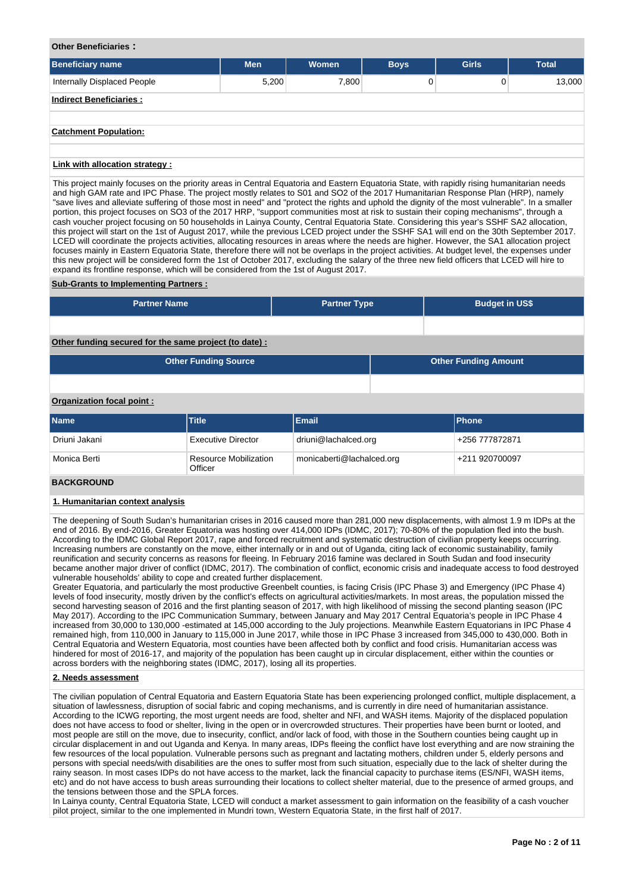### **Other Beneficiaries :**

| <b>Beneficiary name</b>        | <b>Men</b> | <b>Women</b> | <b>Boys</b> | <b>Girls</b> | <b>Total</b> |
|--------------------------------|------------|--------------|-------------|--------------|--------------|
| Internally Displaced People    | 5,200      | 7,800        | 0           | 0            | 13,000       |
| <b>Indirect Beneficiaries:</b> |            |              |             |              |              |
| <b>Catchment Population:</b>   |            |              |             |              |              |
|                                |            |              |             |              |              |

## **Link with allocation strategy :**

This project mainly focuses on the priority areas in Central Equatoria and Eastern Equatoria State, with rapidly rising humanitarian needs and high GAM rate and IPC Phase. The project mostly relates to S01 and SO2 of the 2017 Humanitarian Response Plan (HRP), namely "save lives and alleviate suffering of those most in need" and "protect the rights and uphold the dignity of the most vulnerable". In a smaller portion, this project focuses on SO3 of the 2017 HRP, "support communities most at risk to sustain their coping mechanisms", through a cash voucher project focusing on 50 households in Lainya County, Central Equatoria State. Considering this year's SSHF SA2 allocation, this project will start on the 1st of August 2017, while the previous LCED project under the SSHF SA1 will end on the 30th September 2017. LCED will coordinate the projects activities, allocating resources in areas where the needs are higher. However, the SA1 allocation project focuses mainly in Eastern Equatoria State, therefore there will not be overlaps in the project activities. At budget level, the expenses under this new project will be considered form the 1st of October 2017, excluding the salary of the three new field officers that LCED will hire to expand its frontline response, which will be considered from the 1st of August 2017.

### **Sub-Grants to Implementing Partners :**

| <b>Partner Name</b>                                   | <b>Partner Type</b> | <b>Budget in US\$</b>       |  |
|-------------------------------------------------------|---------------------|-----------------------------|--|
|                                                       |                     |                             |  |
| Other funding secured for the same project (to date): |                     |                             |  |
| <b>Other Funding Source</b>                           |                     | <b>Other Funding Amount</b> |  |

## **Organization focal point :**

| <b>Name</b>   | <b>Title</b>                            | Email                     | <b>IPhone</b>  |
|---------------|-----------------------------------------|---------------------------|----------------|
| Driuni Jakani | <b>Executive Director</b>               | driuni@lachalced.org      | +256 777872871 |
| Monica Berti  | <b>Resource Mobilization</b><br>Officer | monicaberti@lachalced.org | +211 920700097 |

## **BACKGROUND**

### **1. Humanitarian context analysis**

The deepening of South Sudan's humanitarian crises in 2016 caused more than 281,000 new displacements, with almost 1.9 m IDPs at the end of 2016. By end-2016, Greater Equatoria was hosting over 414,000 IDPs (IDMC, 2017); 70-80% of the population fled into the bush. According to the IDMC Global Report 2017, rape and forced recruitment and systematic destruction of civilian property keeps occurring. Increasing numbers are constantly on the move, either internally or in and out of Uganda, citing lack of economic sustainability, family reunification and security concerns as reasons for fleeing. In February 2016 famine was declared in South Sudan and food insecurity became another major driver of conflict (IDMC, 2017). The combination of conflict, economic crisis and inadequate access to food destroyed vulnerable households' ability to cope and created further displacement.

Greater Equatoria, and particularly the most productive Greenbelt counties, is facing Crisis (IPC Phase 3) and Emergency (IPC Phase 4) levels of food insecurity, mostly driven by the conflict's effects on agricultural activities/markets. In most areas, the population missed the second harvesting season of 2016 and the first planting season of 2017, with high likelihood of missing the second planting season (IPC May 2017). According to the IPC Communication Summary, between January and May 2017 Central Equatoria's people in IPC Phase 4 increased from 30,000 to 130,000 -estimated at 145,000 according to the July projections. Meanwhile Eastern Equatorians in IPC Phase 4 remained high, from 110,000 in January to 115,000 in June 2017, while those in IPC Phase 3 increased from 345,000 to 430,000. Both in Central Equatoria and Western Equatoria, most counties have been affected both by conflict and food crisis. Humanitarian access was hindered for most of 2016-17, and majority of the population has been caught up in circular displacement, either within the counties or across borders with the neighboring states (IDMC, 2017), losing all its properties.

### **2. Needs assessment**

The civilian population of Central Equatoria and Eastern Equatoria State has been experiencing prolonged conflict, multiple displacement, a situation of lawlessness, disruption of social fabric and coping mechanisms, and is currently in dire need of humanitarian assistance. According to the ICWG reporting, the most urgent needs are food, shelter and NFI, and WASH items. Majority of the displaced population does not have access to food or shelter, living in the open or in overcrowded structures. Their properties have been burnt or looted, and most people are still on the move, due to insecurity, conflict, and/or lack of food, with those in the Southern counties being caught up in circular displacement in and out Uganda and Kenya. In many areas, IDPs fleeing the conflict have lost everything and are now straining the few resources of the local population. Vulnerable persons such as pregnant and lactating mothers, children under 5, elderly persons and persons with special needs/with disabilities are the ones to suffer most from such situation, especially due to the lack of shelter during the rainy season. In most cases IDPs do not have access to the market, lack the financial capacity to purchase items (ES/NFI, WASH items, etc) and do not have access to bush areas surrounding their locations to collect shelter material, due to the presence of armed groups, and the tensions between those and the SPLA forces.

In Lainya county, Central Equatoria State, LCED will conduct a market assessment to gain information on the feasibility of a cash voucher pilot project, similar to the one implemented in Mundri town, Western Equatoria State, in the first half of 2017.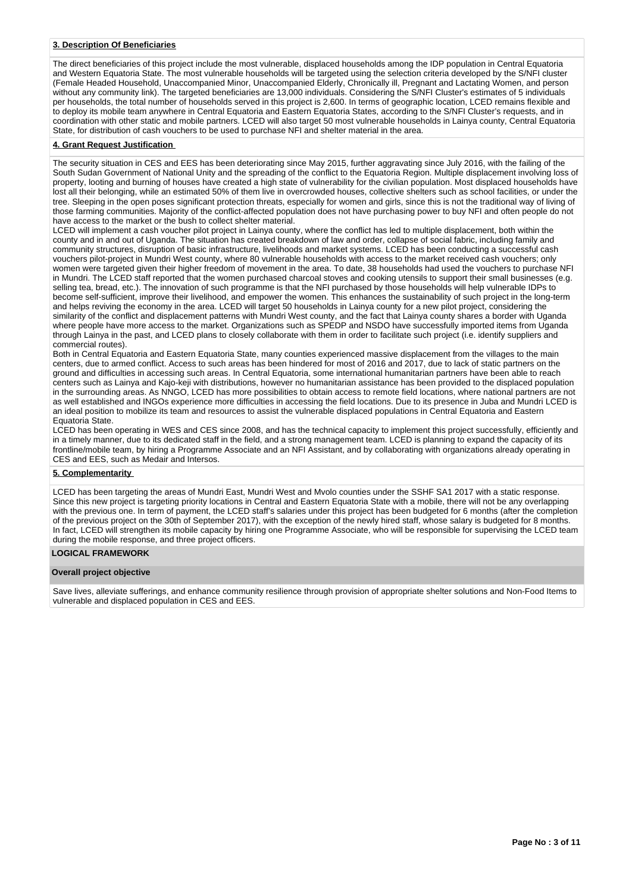### **3. Description Of Beneficiaries**

The direct beneficiaries of this project include the most vulnerable, displaced households among the IDP population in Central Equatoria and Western Equatoria State. The most vulnerable households will be targeted using the selection criteria developed by the S/NFI cluster (Female Headed Household, Unaccompanied Minor, Unaccompanied Elderly, Chronically ill, Pregnant and Lactating Women, and person without any community link). The targeted beneficiaries are 13,000 individuals. Considering the S/NFI Cluster's estimates of 5 individuals per households, the total number of households served in this project is 2,600. In terms of geographic location, LCED remains flexible and to deploy its mobile team anywhere in Central Equatoria and Eastern Equatoria States, according to the S/NFI Cluster's requests, and in coordination with other static and mobile partners. LCED will also target 50 most vulnerable households in Lainya county, Central Equatoria State, for distribution of cash vouchers to be used to purchase NFI and shelter material in the area.

### **4. Grant Request Justification**

The security situation in CES and EES has been deteriorating since May 2015, further aggravating since July 2016, with the failing of the South Sudan Government of National Unity and the spreading of the conflict to the Equatoria Region. Multiple displacement involving loss of property, looting and burning of houses have created a high state of vulnerability for the civilian population. Most displaced households have lost all their belonging, while an estimated 50% of them live in overcrowded houses, collective shelters such as school facilities, or under the tree. Sleeping in the open poses significant protection threats, especially for women and girls, since this is not the traditional way of living of those farming communities. Majority of the conflict-affected population does not have purchasing power to buy NFI and often people do not have access to the market or the bush to collect shelter material.

LCED will implement a cash voucher pilot project in Lainya county, where the conflict has led to multiple displacement, both within the county and in and out of Uganda. The situation has created breakdown of law and order, collapse of social fabric, including family and community structures, disruption of basic infrastructure, livelihoods and market systems. LCED has been conducting a successful cash vouchers pilot-project in Mundri West county, where 80 vulnerable households with access to the market received cash vouchers; only women were targeted given their higher freedom of movement in the area. To date, 38 households had used the vouchers to purchase NFI in Mundri. The LCED staff reported that the women purchased charcoal stoves and cooking utensils to support their small businesses (e.g. selling tea, bread, etc.). The innovation of such programme is that the NFI purchased by those households will help vulnerable IDPs to become self-sufficient, improve their livelihood, and empower the women. This enhances the sustainability of such project in the long-term and helps reviving the economy in the area. LCED will target 50 households in Lainya county for a new pilot project, considering the similarity of the conflict and displacement patterns with Mundri West county, and the fact that Lainya county shares a border with Uganda where people have more access to the market. Organizations such as SPEDP and NSDO have successfully imported items from Uganda through Lainya in the past, and LCED plans to closely collaborate with them in order to facilitate such project (i.e. identify suppliers and commercial routes).

Both in Central Equatoria and Eastern Equatoria State, many counties experienced massive displacement from the villages to the main centers, due to armed conflict. Access to such areas has been hindered for most of 2016 and 2017, due to lack of static partners on the ground and difficulties in accessing such areas. In Central Equatoria, some international humanitarian partners have been able to reach centers such as Lainya and Kajo-keji with distributions, however no humanitarian assistance has been provided to the displaced population in the surrounding areas. As NNGO, LCED has more possibilities to obtain access to remote field locations, where national partners are not as well established and INGOs experience more difficulties in accessing the field locations. Due to its presence in Juba and Mundri LCED is an ideal position to mobilize its team and resources to assist the vulnerable displaced populations in Central Equatoria and Eastern Equatoria State.

LCED has been operating in WES and CES since 2008, and has the technical capacity to implement this project successfully, efficiently and in a timely manner, due to its dedicated staff in the field, and a strong management team. LCED is planning to expand the capacity of its frontline/mobile team, by hiring a Programme Associate and an NFI Assistant, and by collaborating with organizations already operating in CES and EES, such as Medair and Intersos.

## **5. Complementarity**

LCED has been targeting the areas of Mundri East, Mundri West and Mvolo counties under the SSHF SA1 2017 with a static response. Since this new project is targeting priority locations in Central and Eastern Equatoria State with a mobile, there will not be any overlapping with the previous one. In term of payment, the LCED staff's salaries under this project has been budgeted for 6 months (after the completion of the previous project on the 30th of September 2017), with the exception of the newly hired staff, whose salary is budgeted for 8 months. In fact, LCED will strengthen its mobile capacity by hiring one Programme Associate, who will be responsible for supervising the LCED team during the mobile response, and three project officers.

### **LOGICAL FRAMEWORK**

#### **Overall project objective**

Save lives, alleviate sufferings, and enhance community resilience through provision of appropriate shelter solutions and Non-Food Items to vulnerable and displaced population in CES and EES.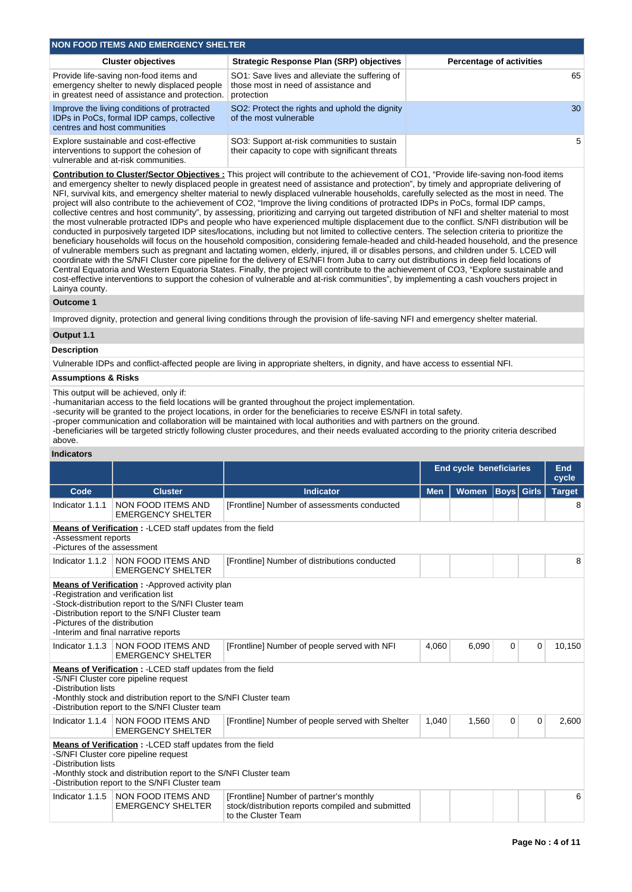| NON FOOD ITEMS AND EMERGENCY SHELTER                                                                                                    |                                                                                                      |                                 |  |  |  |  |  |  |  |  |
|-----------------------------------------------------------------------------------------------------------------------------------------|------------------------------------------------------------------------------------------------------|---------------------------------|--|--|--|--|--|--|--|--|
| <b>Cluster objectives</b>                                                                                                               | Strategic Response Plan (SRP) objectives                                                             | <b>Percentage of activities</b> |  |  |  |  |  |  |  |  |
| Provide life-saving non-food items and<br>emergency shelter to newly displaced people<br>in greatest need of assistance and protection. | SO1: Save lives and alleviate the suffering of<br>those most in need of assistance and<br>protection | 65                              |  |  |  |  |  |  |  |  |
| Improve the living conditions of protracted<br>IDPs in PoCs, formal IDP camps, collective<br>centres and host communities               | SO2: Protect the rights and uphold the dignity<br>of the most vulnerable                             | 30                              |  |  |  |  |  |  |  |  |
| Explore sustainable and cost-effective<br>interventions to support the cohesion of<br>vulnerable and at-risk communities.               | SO3: Support at-risk communities to sustain<br>their capacity to cope with significant threats       | 5                               |  |  |  |  |  |  |  |  |

**Contribution to Cluster/Sector Objectives :** This project will contribute to the achievement of CO1, "Provide life-saving non-food items and emergency shelter to newly displaced people in greatest need of assistance and protection", by timely and appropriate delivering of NFI, survival kits, and emergency shelter material to newly displaced vulnerable households, carefully selected as the most in need. The project will also contribute to the achievement of CO2, "Improve the living conditions of protracted IDPs in PoCs, formal IDP camps, collective centres and host community", by assessing, prioritizing and carrying out targeted distribution of NFI and shelter material to most the most vulnerable protracted IDPs and people who have experienced multiple displacement due to the conflict. S/NFI distribution will be conducted in purposively targeted IDP sites/locations, including but not limited to collective centers. The selection criteria to prioritize the beneficiary households will focus on the household composition, considering female-headed and child-headed household, and the presence of vulnerable members such as pregnant and lactating women, elderly, injured, ill or disables persons, and children under 5. LCED will coordinate with the S/NFI Cluster core pipeline for the delivery of ES/NFI from Juba to carry out distributions in deep field locations of Central Equatoria and Western Equatoria States. Finally, the project will contribute to the achievement of CO3, "Explore sustainable and cost-effective interventions to support the cohesion of vulnerable and at-risk communities", by implementing a cash vouchers project in Lainya county.

### **Outcome 1**

Improved dignity, protection and general living conditions through the provision of life-saving NFI and emergency shelter material.

# **Output 1.1**

## **Description**

Vulnerable IDPs and conflict-affected people are living in appropriate shelters, in dignity, and have access to essential NFI.

## **Assumptions & Risks**

This output will be achieved, only if:

-humanitarian access to the field locations will be granted throughout the project implementation.

-security will be granted to the project locations, in order for the beneficiaries to receive ES/NFI in total safety.

-proper communication and collaboration will be maintained with local authorities and with partners on the ground.

-beneficiaries will be targeted strictly following cluster procedures, and their needs evaluated according to the priority criteria described above.

### **Indicators**

|                                                                                                                                                                                                                                                                                  |                                                                                                                                                                                                                                                        |                                                                                                                     | <b>End cycle beneficiaries</b> |              |                   |             | End<br>cycle  |  |  |  |  |  |
|----------------------------------------------------------------------------------------------------------------------------------------------------------------------------------------------------------------------------------------------------------------------------------|--------------------------------------------------------------------------------------------------------------------------------------------------------------------------------------------------------------------------------------------------------|---------------------------------------------------------------------------------------------------------------------|--------------------------------|--------------|-------------------|-------------|---------------|--|--|--|--|--|
| Code                                                                                                                                                                                                                                                                             | <b>Cluster</b>                                                                                                                                                                                                                                         | <b>Indicator</b>                                                                                                    | <b>Men</b>                     | <b>Women</b> | <b>Boys Girls</b> |             | <b>Target</b> |  |  |  |  |  |
| Indicator 1.1.1                                                                                                                                                                                                                                                                  | NON FOOD ITEMS AND<br><b>EMERGENCY SHELTER</b>                                                                                                                                                                                                         | [Frontline] Number of assessments conducted                                                                         |                                |              |                   |             | 8             |  |  |  |  |  |
| Means of Verification: - LCED staff updates from the field<br>-Assessment reports<br>-Pictures of the assessment                                                                                                                                                                 |                                                                                                                                                                                                                                                        |                                                                                                                     |                                |              |                   |             |               |  |  |  |  |  |
|                                                                                                                                                                                                                                                                                  | Indicator 1.1.2   NON FOOD ITEMS AND<br><b>EMERGENCY SHELTER</b>                                                                                                                                                                                       | [Frontline] Number of distributions conducted                                                                       |                                |              |                   |             | 8             |  |  |  |  |  |
| <b>Means of Verification:</b> - Approved activity plan<br>-Registration and verification list<br>-Stock-distribution report to the S/NFI Cluster team<br>-Distribution report to the S/NFI Cluster team<br>-Pictures of the distribution<br>-Interim and final narrative reports |                                                                                                                                                                                                                                                        |                                                                                                                     |                                |              |                   |             |               |  |  |  |  |  |
| Indicator $1.1.3$                                                                                                                                                                                                                                                                | NON FOOD ITEMS AND<br><b>EMERGENCY SHELTER</b>                                                                                                                                                                                                         | [Frontline] Number of people served with NFI                                                                        | 4,060                          | 6,090        | 0                 | $\mathbf 0$ | 10,150        |  |  |  |  |  |
| -Distribution lists                                                                                                                                                                                                                                                              | Means of Verification : - LCED staff updates from the field<br>-S/NFI Cluster core pipeline request<br>-Monthly stock and distribution report to the S/NFI Cluster team<br>-Distribution report to the S/NFI Cluster team                              |                                                                                                                     |                                |              |                   |             |               |  |  |  |  |  |
|                                                                                                                                                                                                                                                                                  | Indicator 1.1.4 NON FOOD ITEMS AND<br><b>EMERGENCY SHELTER</b>                                                                                                                                                                                         | [Frontline] Number of people served with Shelter                                                                    | 1,040                          | 1,560        | 0                 | 0           | 2,600         |  |  |  |  |  |
|                                                                                                                                                                                                                                                                                  | <b>Means of Verification:</b> - LCED staff updates from the field<br>-S/NFI Cluster core pipeline request<br>-Distribution lists<br>-Monthly stock and distribution report to the S/NFI Cluster team<br>-Distribution report to the S/NFI Cluster team |                                                                                                                     |                                |              |                   |             |               |  |  |  |  |  |
| Indicator 1.1.5                                                                                                                                                                                                                                                                  | <b>NON FOOD ITEMS AND</b><br><b>EMERGENCY SHELTER</b>                                                                                                                                                                                                  | [Frontline] Number of partner's monthly<br>stock/distribution reports compiled and submitted<br>to the Cluster Team |                                | 6            |                   |             |               |  |  |  |  |  |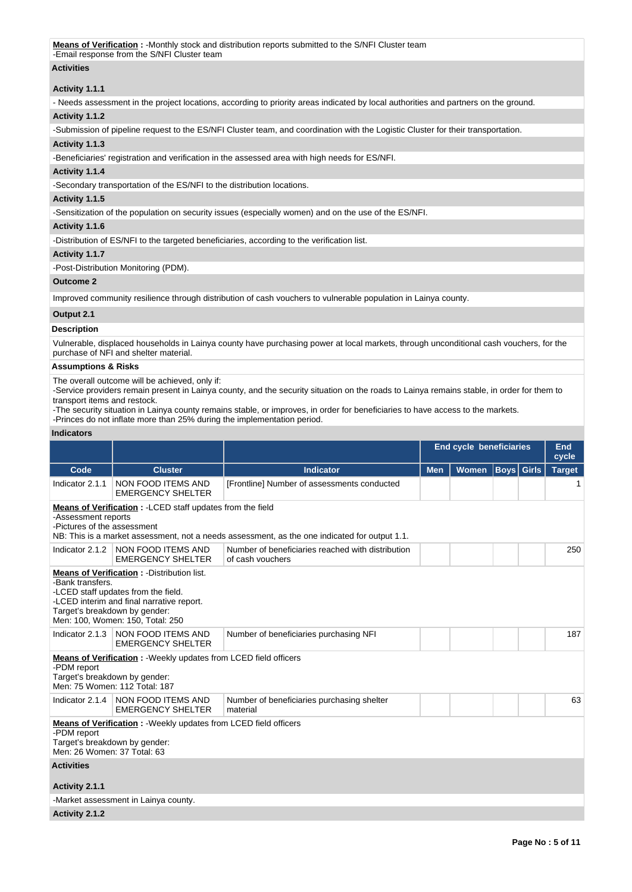## **Activities**

# **Activity 1.1.1**

- Needs assessment in the project locations, according to priority areas indicated by local authorities and partners on the ground.

### **Activity 1.1.2**

-Submission of pipeline request to the ES/NFI Cluster team, and coordination with the Logistic Cluster for their transportation.

# **Activity 1.1.3**

-Beneficiaries' registration and verification in the assessed area with high needs for ES/NFI.

### **Activity 1.1.4**

-Secondary transportation of the ES/NFI to the distribution locations.

### **Activity 1.1.5**

-Sensitization of the population on security issues (especially women) and on the use of the ES/NFI.

### **Activity 1.1.6**

-Distribution of ES/NFI to the targeted beneficiaries, according to the verification list.

## **Activity 1.1.7**

-Post-Distribution Monitoring (PDM).

### **Outcome 2**

Improved community resilience through distribution of cash vouchers to vulnerable population in Lainya county.

## **Output 2.1**

# **Description**

Vulnerable, displaced households in Lainya county have purchasing power at local markets, through unconditional cash vouchers, for the purchase of NFI and shelter material.

# **Assumptions & Risks**

The overall outcome will be achieved, only if:

-Service providers remain present in Lainya county, and the security situation on the roads to Lainya remains stable, in order for them to transport items and restock.

-The security situation in Lainya county remains stable, or improves, in order for beneficiaries to have access to the markets.

-Princes do not inflate more than 25% during the implementation period.

### **Indicators**

|                                                                                                                                                                                                                                 |                                                                                                          |                                                                       |                                                 | <b>End cycle beneficiaries</b> |  |  |               |  |  |  |
|---------------------------------------------------------------------------------------------------------------------------------------------------------------------------------------------------------------------------------|----------------------------------------------------------------------------------------------------------|-----------------------------------------------------------------------|-------------------------------------------------|--------------------------------|--|--|---------------|--|--|--|
| Code                                                                                                                                                                                                                            | <b>Cluster</b>                                                                                           | <b>Indicator</b>                                                      | <b>Boys</b> Girls<br><b>Women</b><br><b>Men</b> |                                |  |  | <b>Target</b> |  |  |  |
| Indicator 2.1.1                                                                                                                                                                                                                 | NON FOOD ITEMS AND<br><b>EMERGENCY SHELTER</b>                                                           | [Frontline] Number of assessments conducted                           |                                                 |                                |  |  |               |  |  |  |
| <b>Means of Verification:</b> - LCED staff updates from the field<br>-Assessment reports<br>-Pictures of the assessment<br>NB: This is a market assessment, not a needs assessment, as the one indicated for output 1.1.        |                                                                                                          |                                                                       |                                                 |                                |  |  |               |  |  |  |
| Indicator 2.1.2                                                                                                                                                                                                                 | NON FOOD ITEMS AND<br><b>EMERGENCY SHELTER</b>                                                           | Number of beneficiaries reached with distribution<br>of cash vouchers |                                                 |                                |  |  | 250           |  |  |  |
| <b>Means of Verification:</b> - Distribution list.<br>-Bank transfers.<br>-LCED staff updates from the field.<br>-LCED interim and final narrative report.<br>Target's breakdown by gender:<br>Men: 100, Women: 150, Total: 250 |                                                                                                          |                                                                       |                                                 |                                |  |  |               |  |  |  |
| Indicator 2.1.3                                                                                                                                                                                                                 | NON FOOD ITEMS AND<br><b>EMERGENCY SHELTER</b>                                                           | Number of beneficiaries purchasing NFI                                |                                                 |                                |  |  | 187           |  |  |  |
| -PDM report<br>Target's breakdown by gender:                                                                                                                                                                                    | <b>Means of Verification:</b> - Weekly updates from LCED field officers<br>Men: 75 Women: 112 Total: 187 |                                                                       |                                                 |                                |  |  |               |  |  |  |
| Indicator 2.1.4                                                                                                                                                                                                                 | NON FOOD ITEMS AND<br><b>EMERGENCY SHELTER</b>                                                           | Number of beneficiaries purchasing shelter<br>material                |                                                 |                                |  |  | 63            |  |  |  |
| Means of Verification: - Weekly updates from LCED field officers<br>-PDM report<br>Target's breakdown by gender:<br>Men: 26 Women: 37 Total: 63                                                                                 |                                                                                                          |                                                                       |                                                 |                                |  |  |               |  |  |  |
| <b>Activities</b>                                                                                                                                                                                                               |                                                                                                          |                                                                       |                                                 |                                |  |  |               |  |  |  |
| Activity 2.1.1                                                                                                                                                                                                                  |                                                                                                          |                                                                       |                                                 |                                |  |  |               |  |  |  |
|                                                                                                                                                                                                                                 | -Market assessment in Lainya county.                                                                     |                                                                       |                                                 |                                |  |  |               |  |  |  |
| Activity 2.1.2                                                                                                                                                                                                                  |                                                                                                          |                                                                       |                                                 |                                |  |  |               |  |  |  |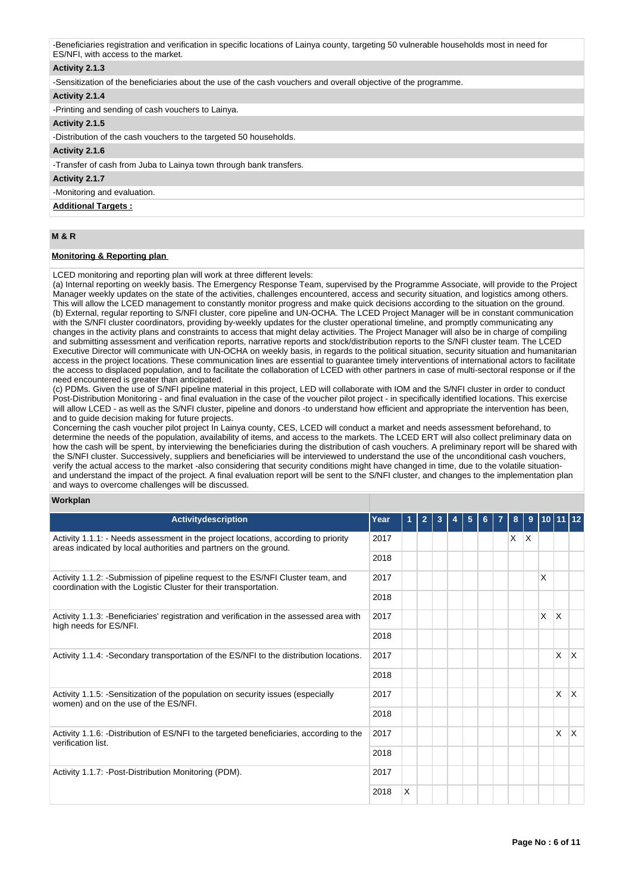-Beneficiaries registration and verification in specific locations of Lainya county, targeting 50 vulnerable households most in need for ES/NFI, with access to the market.

## **Activity 2.1.3**

-Sensitization of the beneficiaries about the use of the cash vouchers and overall objective of the programme.

# **Activity 2.1.4**

-Printing and sending of cash vouchers to Lainya.

### **Activity 2.1.5**

-Distribution of the cash vouchers to the targeted 50 households.

### **Activity 2.1.6**

-Transfer of cash from Juba to Lainya town through bank transfers.

### **Activity 2.1.7**

-Monitoring and evaluation.

### **Additional Targets :**

# **M & R**

## **Monitoring & Reporting plan**

LCED monitoring and reporting plan will work at three different levels:

(a) Internal reporting on weekly basis. The Emergency Response Team, supervised by the Programme Associate, will provide to the Project Manager weekly updates on the state of the activities, challenges encountered, access and security situation, and logistics among others. This will allow the LCED management to constantly monitor progress and make quick decisions according to the situation on the ground. (b) External, regular reporting to S/NFI cluster, core pipeline and UN-OCHA. The LCED Project Manager will be in constant communication with the S/NFI cluster coordinators, providing by-weekly updates for the cluster operational timeline, and promptly communicating any changes in the activity plans and constraints to access that might delay activities. The Project Manager will also be in charge of compiling and submitting assessment and verification reports, narrative reports and stock/distribution reports to the S/NFI cluster team. The LCED Executive Director will communicate with UN-OCHA on weekly basis, in regards to the political situation, security situation and humanitarian access in the project locations. These communication lines are essential to guarantee timely interventions of international actors to facilitate the access to displaced population, and to facilitate the collaboration of LCED with other partners in case of multi-sectoral response or if the need encountered is greater than anticipated.

(c) PDMs. Given the use of S/NFI pipeline material in this project, LED will collaborate with IOM and the S/NFI cluster in order to conduct Post-Distribution Monitoring - and final evaluation in the case of the voucher pilot project - in specifically identified locations. This exercise will allow LCED - as well as the S/NFI cluster, pipeline and donors -to understand how efficient and appropriate the intervention has been, and to guide decision making for future projects.

Concerning the cash voucher pilot project In Lainya county, CES, LCED will conduct a market and needs assessment beforehand, to determine the needs of the population, availability of items, and access to the markets. The LCED ERT will also collect preliminary data on how the cash will be spent, by interviewing the beneficiaries during the distribution of cash vouchers. A preliminary report will be shared with the S/NFI cluster. Successively, suppliers and beneficiaries will be interviewed to understand the use of the unconditional cash vouchers, verify the actual access to the market -also considering that security conditions might have changed in time, due to the volatile situationand understand the impact of the project. A final evaluation report will be sent to the S/NFI cluster, and changes to the implementation plan and ways to overcome challenges will be discussed.

### **Workplan**

| <b>Activitydescription</b>                                                                                                                             | Year |   | $\overline{2}$ | 3 |  | 5 | 6 | 8       | 9 |   | 10 11 12 |     |
|--------------------------------------------------------------------------------------------------------------------------------------------------------|------|---|----------------|---|--|---|---|---------|---|---|----------|-----|
| Activity 1.1.1: - Needs assessment in the project locations, according to priority<br>areas indicated by local authorities and partners on the ground. | 2017 |   |                |   |  |   |   | $X$ $X$ |   |   |          |     |
|                                                                                                                                                        | 2018 |   |                |   |  |   |   |         |   |   |          |     |
| Activity 1.1.2: -Submission of pipeline request to the ES/NFI Cluster team, and<br>coordination with the Logistic Cluster for their transportation.    | 2017 |   |                |   |  |   |   |         |   | X |          |     |
|                                                                                                                                                        | 2018 |   |                |   |  |   |   |         |   |   |          |     |
| Activity 1.1.3: -Beneficiaries' registration and verification in the assessed area with<br>high needs for ES/NFI.                                      | 2017 |   |                |   |  |   |   |         |   | X | X        |     |
| 2018<br>2017                                                                                                                                           |      |   |                |   |  |   |   |         |   |   |          |     |
| Activity 1.1.4: -Secondary transportation of the ES/NFI to the distribution locations.                                                                 |      |   |                |   |  |   |   |         |   |   | X        | ΙX. |
|                                                                                                                                                        | 2018 |   |                |   |  |   |   |         |   |   |          |     |
| Activity 1.1.5: - Sensitization of the population on security issues (especially<br>women) and on the use of the ES/NFI.                               | 2017 |   |                |   |  |   |   |         |   |   | X        | ΙX. |
|                                                                                                                                                        | 2018 |   |                |   |  |   |   |         |   |   |          |     |
| Activity 1.1.6: -Distribution of ES/NFI to the targeted beneficiaries, according to the<br>verification list.                                          | 2017 |   |                |   |  |   |   |         |   |   | X        | ΙX. |
|                                                                                                                                                        | 2018 |   |                |   |  |   |   |         |   |   |          |     |
| Activity 1.1.7: - Post-Distribution Monitoring (PDM).                                                                                                  | 2017 |   |                |   |  |   |   |         |   |   |          |     |
|                                                                                                                                                        | 2018 | X |                |   |  |   |   |         |   |   |          |     |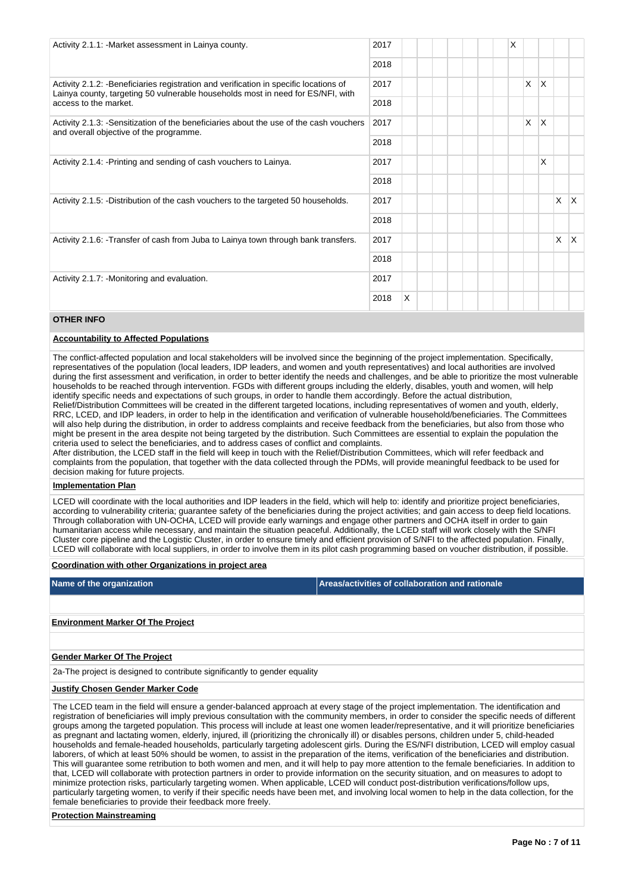| Activity 2.1.1: - Market assessment in Lainya county.                                                                                                                     | 2017 |   |  |  | X |   |          |   |    |
|---------------------------------------------------------------------------------------------------------------------------------------------------------------------------|------|---|--|--|---|---|----------|---|----|
|                                                                                                                                                                           | 2018 |   |  |  |   |   |          |   |    |
| Activity 2.1.2: - Beneficiaries registration and verification in specific locations of<br>Lainya county, targeting 50 vulnerable households most in need for ES/NFI, with | 2017 |   |  |  |   | X | $\times$ |   |    |
| access to the market.                                                                                                                                                     | 2018 |   |  |  |   |   |          |   |    |
| Activity 2.1.3: -Sensitization of the beneficiaries about the use of the cash vouchers<br>and overall objective of the programme.                                         | 2017 |   |  |  |   | X | X        |   |    |
| Activity 2.1.4: - Printing and sending of cash vouchers to Lainya.                                                                                                        | 2018 |   |  |  |   |   |          |   |    |
|                                                                                                                                                                           | 2017 |   |  |  |   |   | X        |   |    |
|                                                                                                                                                                           | 2018 |   |  |  |   |   |          |   |    |
| Activity 2.1.5: -Distribution of the cash vouchers to the targeted 50 households.                                                                                         | 2017 |   |  |  |   |   |          | X | X. |
|                                                                                                                                                                           | 2018 |   |  |  |   |   |          |   |    |
| Activity 2.1.6: -Transfer of cash from Juba to Lainya town through bank transfers.                                                                                        | 2017 |   |  |  |   |   |          | X | X. |
|                                                                                                                                                                           | 2018 |   |  |  |   |   |          |   |    |
| Activity 2.1.7: - Monitoring and evaluation.                                                                                                                              | 2017 |   |  |  |   |   |          |   |    |
|                                                                                                                                                                           | 2018 | X |  |  |   |   |          |   |    |

# **OTHER INFO**

#### **Accountability to Affected Populations**

The conflict-affected population and local stakeholders will be involved since the beginning of the project implementation. Specifically, representatives of the population (local leaders, IDP leaders, and women and youth representatives) and local authorities are involved during the first assessment and verification, in order to better identify the needs and challenges, and be able to prioritize the most vulnerable households to be reached through intervention. FGDs with different groups including the elderly, disables, youth and women, will help identify specific needs and expectations of such groups, in order to handle them accordingly. Before the actual distribution,

Relief/Distribution Committees will be created in the different targeted locations, including representatives of women and youth, elderly, RRC, LCED, and IDP leaders, in order to help in the identification and verification of vulnerable household/beneficiaries. The Committees will also help during the distribution, in order to address complaints and receive feedback from the beneficiaries, but also from those who might be present in the area despite not being targeted by the distribution. Such Committees are essential to explain the population the criteria used to select the beneficiaries, and to address cases of conflict and complaints.

After distribution, the LCED staff in the field will keep in touch with the Relief/Distribution Committees, which will refer feedback and complaints from the population, that together with the data collected through the PDMs, will provide meaningful feedback to be used for decision making for future projects.

# **Implementation Plan**

LCED will coordinate with the local authorities and IDP leaders in the field, which will help to: identify and prioritize project beneficiaries, according to vulnerability criteria; guarantee safety of the beneficiaries during the project activities; and gain access to deep field locations. Through collaboration with UN-OCHA, LCED will provide early warnings and engage other partners and OCHA itself in order to gain humanitarian access while necessary, and maintain the situation peaceful. Additionally, the LCED staff will work closely with the S/NFI Cluster core pipeline and the Logistic Cluster, in order to ensure timely and efficient provision of S/NFI to the affected population. Finally, LCED will collaborate with local suppliers, in order to involve them in its pilot cash programming based on voucher distribution, if possible.

### **Coordination with other Organizations in project area**

**Name of the organization Areas/activities of collaboration and rationale** 

## **Environment Marker Of The Project**

#### **Gender Marker Of The Project**

2a-The project is designed to contribute significantly to gender equality

### **Justify Chosen Gender Marker Code**

The LCED team in the field will ensure a gender-balanced approach at every stage of the project implementation. The identification and registration of beneficiaries will imply previous consultation with the community members, in order to consider the specific needs of different groups among the targeted population. This process will include at least one women leader/representative, and it will prioritize beneficiaries as pregnant and lactating women, elderly, injured, ill (prioritizing the chronically ill) or disables persons, children under 5, child-headed households and female-headed households, particularly targeting adolescent girls. During the ES/NFI distribution, LCED will employ casual laborers, of which at least 50% should be women, to assist in the preparation of the items, verification of the beneficiaries and distribution. This will guarantee some retribution to both women and men, and it will help to pay more attention to the female beneficiaries. In addition to that, LCED will collaborate with protection partners in order to provide information on the security situation, and on measures to adopt to minimize protection risks, particularly targeting women. When applicable, LCED will conduct post-distribution verifications/follow ups, particularly targeting women, to verify if their specific needs have been met, and involving local women to help in the data collection, for the female beneficiaries to provide their feedback more freely.

## **Protection Mainstreaming**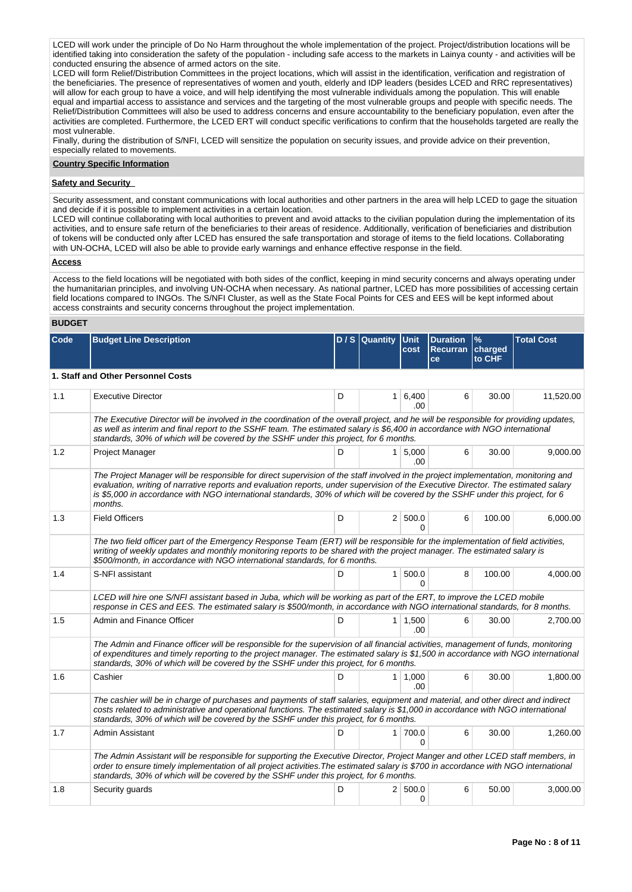LCED will work under the principle of Do No Harm throughout the whole implementation of the project. Project/distribution locations will be identified taking into consideration the safety of the population - including safe access to the markets in Lainya county - and activities will be conducted ensuring the absence of armed actors on the site.

LCED will form Relief/Distribution Committees in the project locations, which will assist in the identification, verification and registration of the beneficiaries. The presence of representatives of women and youth, elderly and IDP leaders (besides LCED and RRC representatives) will allow for each group to have a voice, and will help identifying the most vulnerable individuals among the population. This will enable equal and impartial access to assistance and services and the targeting of the most vulnerable groups and people with specific needs. The Relief/Distribution Committees will also be used to address concerns and ensure accountability to the beneficiary population, even after the activities are completed. Furthermore, the LCED ERT will conduct specific verifications to confirm that the households targeted are really the most vulnerable.

Finally, during the distribution of S/NFI, LCED will sensitize the population on security issues, and provide advice on their prevention, especially related to movements.

# **Country Specific Information**

### **Safety and Security**

Security assessment, and constant communications with local authorities and other partners in the area will help LCED to gage the situation and decide if it is possible to implement activities in a certain location.

LCED will continue collaborating with local authorities to prevent and avoid attacks to the civilian population during the implementation of its activities, and to ensure safe return of the beneficiaries to their areas of residence. Additionally, verification of beneficiaries and distribution of tokens will be conducted only after LCED has ensured the safe transportation and storage of items to the field locations. Collaborating with UN-OCHA, LCED will also be able to provide early warnings and enhance effective response in the field.

### **Access**

Access to the field locations will be negotiated with both sides of the conflict, keeping in mind security concerns and always operating under the humanitarian principles, and involving UN-OCHA when necessary. As national partner, LCED has more possibilities of accessing certain field locations compared to INGOs. The S/NFI Cluster, as well as the State Focal Points for CES and EES will be kept informed about access constraints and security concerns throughout the project implementation.

# **BUDGET**

| Code | <b>Budget Line Description</b>                                                                                                                                                                                                                                                                                                                                   |                                                                                                                                                                                                                                                                                                                                                                                                           | D / S Quantity | <b>Unit</b><br>cost       | <b>Duration</b><br>Recurran charged<br>ce | $\%$<br>to CHF | <b>Total Cost</b> |  |  |  |  |  |
|------|------------------------------------------------------------------------------------------------------------------------------------------------------------------------------------------------------------------------------------------------------------------------------------------------------------------------------------------------------------------|-----------------------------------------------------------------------------------------------------------------------------------------------------------------------------------------------------------------------------------------------------------------------------------------------------------------------------------------------------------------------------------------------------------|----------------|---------------------------|-------------------------------------------|----------------|-------------------|--|--|--|--|--|
|      | 1. Staff and Other Personnel Costs                                                                                                                                                                                                                                                                                                                               |                                                                                                                                                                                                                                                                                                                                                                                                           |                |                           |                                           |                |                   |  |  |  |  |  |
| 1.1  | <b>Executive Director</b>                                                                                                                                                                                                                                                                                                                                        | D                                                                                                                                                                                                                                                                                                                                                                                                         |                | $1 \mid 6,400$<br>.00.    | 6                                         | 30.00          | 11,520.00         |  |  |  |  |  |
|      | The Executive Director will be involved in the coordination of the overall project, and he will be responsible for providing updates,<br>as well as interim and final report to the SSHF team. The estimated salary is \$6,400 in accordance with NGO international<br>standards, 30% of which will be covered by the SSHF under this project, for 6 months.     |                                                                                                                                                                                                                                                                                                                                                                                                           |                |                           |                                           |                |                   |  |  |  |  |  |
| 1.2  | <b>Project Manager</b>                                                                                                                                                                                                                                                                                                                                           | D                                                                                                                                                                                                                                                                                                                                                                                                         |                | $1 \, 5,000$<br>.00       | 6                                         | 30.00          | 9.000.00          |  |  |  |  |  |
|      | months.                                                                                                                                                                                                                                                                                                                                                          | The Project Manager will be responsible for direct supervision of the staff involved in the project implementation, monitoring and<br>evaluation, writing of narrative reports and evaluation reports, under supervision of the Executive Director. The estimated salary<br>is \$5,000 in accordance with NGO international standards, 30% of which will be covered by the SSHF under this project, for 6 |                |                           |                                           |                |                   |  |  |  |  |  |
| 1.3  | <b>Field Officers</b>                                                                                                                                                                                                                                                                                                                                            | D                                                                                                                                                                                                                                                                                                                                                                                                         |                | 2   500.0<br><sup>0</sup> | 6                                         | 100.00         | 6,000.00          |  |  |  |  |  |
|      | The two field officer part of the Emergency Response Team (ERT) will be responsible for the implementation of field activities,<br>writing of weekly updates and monthly monitoring reports to be shared with the project manager. The estimated salary is<br>\$500/month, in accordance with NGO international standards, for 6 months.                         |                                                                                                                                                                                                                                                                                                                                                                                                           |                |                           |                                           |                |                   |  |  |  |  |  |
| 1.4  | S-NFI assistant                                                                                                                                                                                                                                                                                                                                                  | D                                                                                                                                                                                                                                                                                                                                                                                                         |                | 1   500.0<br>$\Omega$     | 8                                         | 100.00         | 4,000.00          |  |  |  |  |  |
|      | LCED will hire one S/NFI assistant based in Juba, which will be working as part of the ERT, to improve the LCED mobile<br>response in CES and EES. The estimated salary is \$500/month, in accordance with NGO international standards, for 8 months.                                                                                                            |                                                                                                                                                                                                                                                                                                                                                                                                           |                |                           |                                           |                |                   |  |  |  |  |  |
| 1.5  | Admin and Finance Officer                                                                                                                                                                                                                                                                                                                                        | D                                                                                                                                                                                                                                                                                                                                                                                                         |                | $1 \mid 1,500$<br>.00.    | 6                                         | 30.00          | 2,700.00          |  |  |  |  |  |
|      | The Admin and Finance officer will be responsible for the supervision of all financial activities, management of funds, monitoring<br>of expenditures and timely reporting to the project manager. The estimated salary is \$1,500 in accordance with NGO international<br>standards, 30% of which will be covered by the SSHF under this project, for 6 months. |                                                                                                                                                                                                                                                                                                                                                                                                           |                |                           |                                           |                |                   |  |  |  |  |  |
| 1.6  | Cashier                                                                                                                                                                                                                                                                                                                                                          | D                                                                                                                                                                                                                                                                                                                                                                                                         |                | $1 \mid 1.000$<br>.00     | 6                                         | 30.00          | 1,800.00          |  |  |  |  |  |
|      | The cashier will be in charge of purchases and payments of staff salaries, equipment and material, and other direct and indirect<br>costs related to administrative and operational functions. The estimated salary is \$1,000 in accordance with NGO international<br>standards, 30% of which will be covered by the SSHF under this project, for 6 months.     |                                                                                                                                                                                                                                                                                                                                                                                                           |                |                           |                                           |                |                   |  |  |  |  |  |
| 1.7  | Admin Assistant                                                                                                                                                                                                                                                                                                                                                  | D                                                                                                                                                                                                                                                                                                                                                                                                         |                | 1 700.0<br><sup>0</sup>   | 6                                         | 30.00          | 1,260.00          |  |  |  |  |  |
|      | The Admin Assistant will be responsible for supporting the Executive Director, Project Manger and other LCED staff members, in<br>order to ensure timely implementation of all project activities. The estimated salary is \$700 in accordance with NGO international<br>standards, 30% of which will be covered by the SSHF under this project, for 6 months.   |                                                                                                                                                                                                                                                                                                                                                                                                           |                |                           |                                           |                |                   |  |  |  |  |  |
| 1.8  | Security guards                                                                                                                                                                                                                                                                                                                                                  | D                                                                                                                                                                                                                                                                                                                                                                                                         |                | 2 500.0<br>$\Omega$       | 6                                         | 50.00          | 3,000.00          |  |  |  |  |  |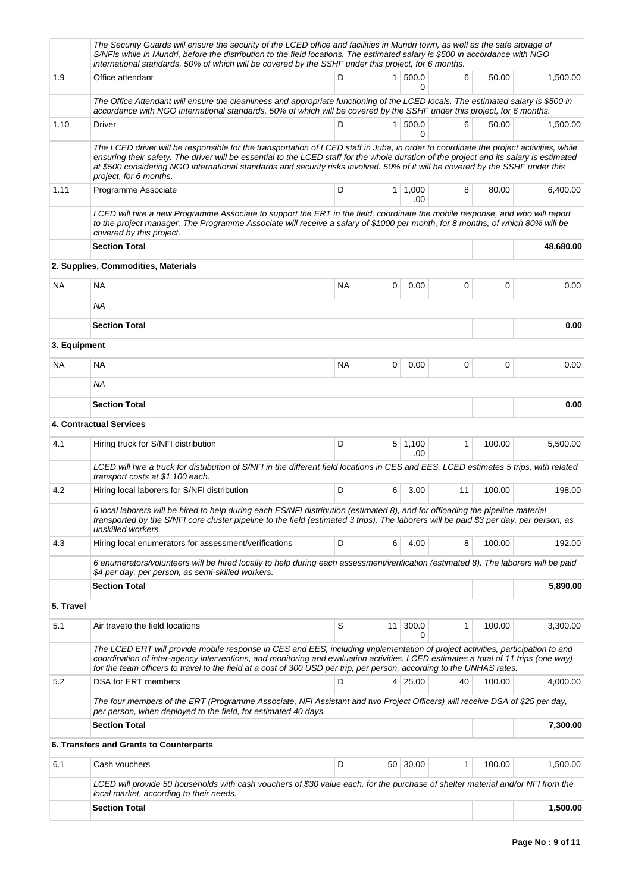|              | The Security Guards will ensure the security of the LCED office and facilities in Mundri town, as well as the safe storage of<br>S/NFIs while in Mundri, before the distribution to the field locations. The estimated salary is \$500 in accordance with NGO<br>international standards, 50% of which will be covered by the SSHF under this project, for 6 months.                                                                          |           |                 |                  |              |        |           |
|--------------|-----------------------------------------------------------------------------------------------------------------------------------------------------------------------------------------------------------------------------------------------------------------------------------------------------------------------------------------------------------------------------------------------------------------------------------------------|-----------|-----------------|------------------|--------------|--------|-----------|
| 1.9          | Office attendant                                                                                                                                                                                                                                                                                                                                                                                                                              | D         |                 | 1 500.0<br>0     | 6            | 50.00  | 1,500.00  |
|              | The Office Attendant will ensure the cleanliness and appropriate functioning of the LCED locals. The estimated salary is \$500 in<br>accordance with NGO international standards, 50% of which will be covered by the SSHF under this project, for 6 months.                                                                                                                                                                                  |           |                 |                  |              |        |           |
| 1.10         | Driver                                                                                                                                                                                                                                                                                                                                                                                                                                        | D         |                 | 1   500.0<br>0   | 6            | 50.00  | 1,500.00  |
|              | The LCED driver will be responsible for the transportation of LCED staff in Juba, in order to coordinate the project activities, while<br>ensuring their safety. The driver will be essential to the LCED staff for the whole duration of the project and its salary is estimated<br>at \$500 considering NGO international standards and security risks involved. 50% of it will be covered by the SSHF under this<br>project, for 6 months. |           |                 |                  |              |        |           |
| 1.11         | Programme Associate                                                                                                                                                                                                                                                                                                                                                                                                                           | D         |                 | 1   1,000<br>.00 | 8            | 80.00  | 6,400.00  |
|              | LCED will hire a new Programme Associate to support the ERT in the field, coordinate the mobile response, and who will report<br>to the project manager. The Programme Associate will receive a salary of \$1000 per month, for 8 months, of which 80% will be<br>covered by this project.                                                                                                                                                    |           |                 |                  |              |        |           |
|              | <b>Section Total</b>                                                                                                                                                                                                                                                                                                                                                                                                                          |           |                 |                  |              |        | 48,680.00 |
|              | 2. Supplies, Commodities, Materials                                                                                                                                                                                                                                                                                                                                                                                                           |           |                 |                  |              |        |           |
| <b>NA</b>    | <b>NA</b>                                                                                                                                                                                                                                                                                                                                                                                                                                     | <b>NA</b> | 0               | 0.00             | 0            | 0      | 0.00      |
|              | ΝA                                                                                                                                                                                                                                                                                                                                                                                                                                            |           |                 |                  |              |        |           |
|              | <b>Section Total</b>                                                                                                                                                                                                                                                                                                                                                                                                                          |           |                 |                  |              |        | 0.00      |
| 3. Equipment |                                                                                                                                                                                                                                                                                                                                                                                                                                               |           |                 |                  |              |        |           |
| ΝA           | <b>NA</b>                                                                                                                                                                                                                                                                                                                                                                                                                                     | <b>NA</b> | 0               | 0.00             | 0            | 0      | 0.00      |
|              | ΝA                                                                                                                                                                                                                                                                                                                                                                                                                                            |           |                 |                  |              |        |           |
|              | <b>Section Total</b>                                                                                                                                                                                                                                                                                                                                                                                                                          |           |                 |                  |              |        | 0.00      |
|              | <b>4. Contractual Services</b>                                                                                                                                                                                                                                                                                                                                                                                                                |           |                 |                  |              |        |           |
| 4.1          | Hiring truck for S/NFI distribution                                                                                                                                                                                                                                                                                                                                                                                                           | D         |                 | 5 1,100<br>.00   | $\mathbf{1}$ | 100.00 | 5,500.00  |
|              | LCED will hire a truck for distribution of S/NFI in the different field locations in CES and EES. LCED estimates 5 trips, with related<br>transport costs at \$1,100 each.                                                                                                                                                                                                                                                                    |           |                 |                  |              |        |           |
| 4.2          | Hiring local laborers for S/NFI distribution                                                                                                                                                                                                                                                                                                                                                                                                  | D         | 6               | 3.00             | 11           | 100.00 | 198.00    |
|              | 6 local laborers will be hired to help during each ES/NFI distribution (estimated 8), and for offloading the pipeline material<br>transported by the S/NFI core cluster pipeline to the field (estimated 3 trips). The laborers will be paid \$3 per day, per person, as<br>unskilled workers.                                                                                                                                                |           |                 |                  |              |        |           |
| 4.3          | Hiring local enumerators for assessment/verifications                                                                                                                                                                                                                                                                                                                                                                                         | D         | 6               | 4.00             | 8            | 100.00 | 192.00    |
|              | 6 enumerators/volunteers will be hired locally to help during each assessment/verification (estimated 8). The laborers will be paid<br>\$4 per day, per person, as semi-skilled workers.                                                                                                                                                                                                                                                      |           |                 |                  |              |        |           |
|              | <b>Section Total</b>                                                                                                                                                                                                                                                                                                                                                                                                                          |           |                 |                  |              |        | 5,890.00  |
| 5. Travel    |                                                                                                                                                                                                                                                                                                                                                                                                                                               |           |                 |                  |              |        |           |
| 5.1          | Air traveto the field locations                                                                                                                                                                                                                                                                                                                                                                                                               | S         | 11 <sup>1</sup> | 300.0<br>0       | 1            | 100.00 | 3,300.00  |
|              | The LCED ERT will provide mobile response in CES and EES, including implementation of project activities, participation to and<br>coordination of inter-agency interventions, and monitoring and evaluation activities. LCED estimates a total of 11 trips (one way)<br>for the team officers to travel to the field at a cost of 300 USD per trip, per person, according to the UNHAS rates.                                                 |           |                 |                  |              |        |           |
| 5.2          | DSA for ERT members                                                                                                                                                                                                                                                                                                                                                                                                                           | D         |                 | 4 25.00          | 40           | 100.00 | 4,000.00  |
|              | The four members of the ERT (Programme Associate, NFI Assistant and two Project Officers) will receive DSA of \$25 per day,<br>per person, when deployed to the field, for estimated 40 days.                                                                                                                                                                                                                                                 |           |                 |                  |              |        |           |
|              | <b>Section Total</b>                                                                                                                                                                                                                                                                                                                                                                                                                          |           |                 |                  |              |        | 7,300.00  |
|              | 6. Transfers and Grants to Counterparts                                                                                                                                                                                                                                                                                                                                                                                                       |           |                 |                  |              |        |           |
| 6.1          | Cash vouchers                                                                                                                                                                                                                                                                                                                                                                                                                                 | D         |                 | 50 30.00         | 1            | 100.00 | 1,500.00  |
|              | LCED will provide 50 households with cash vouchers of \$30 value each, for the purchase of shelter material and/or NFI from the<br>local market, according to their needs.                                                                                                                                                                                                                                                                    |           |                 |                  |              |        |           |
|              | <b>Section Total</b>                                                                                                                                                                                                                                                                                                                                                                                                                          |           |                 |                  |              |        | 1,500.00  |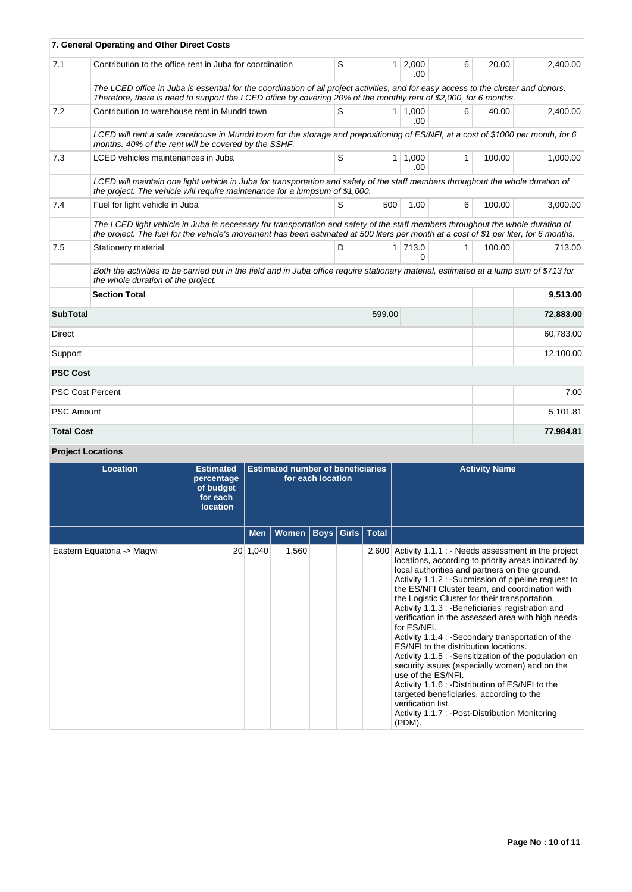|                           | 7. General Operating and Other Direct Costs                                                                                                                                                                                                                              |                             |                                      |                               |        |          |           |  |  |
|---------------------------|--------------------------------------------------------------------------------------------------------------------------------------------------------------------------------------------------------------------------------------------------------------------------|-----------------------------|--------------------------------------|-------------------------------|--------|----------|-----------|--|--|
| 7.1                       | Contribution to the office rent in Juba for coordination                                                                                                                                                                                                                 |                             | S<br>1 <sup>1</sup><br>2,000<br>.00. |                               | 6      | 20.00    | 2,400.00  |  |  |
|                           | The LCED office in Juba is essential for the coordination of all project activities, and for easy access to the cluster and donors.<br>Therefore, there is need to support the LCED office by covering 20% of the monthly rent of \$2,000, for 6 months.                 |                             |                                      |                               |        |          |           |  |  |
| 7.2                       | Contribution to warehouse rent in Mundri town                                                                                                                                                                                                                            | S                           |                                      | $1 \overline{)1.000}$<br>.00. | 6      | 40.00    | 2.400.00  |  |  |
|                           | LCED will rent a safe warehouse in Mundri town for the storage and prepositioning of ES/NFI, at a cost of \$1000 per month, for 6<br>months. 40% of the rent will be covered by the SSHF.                                                                                |                             |                                      |                               |        |          |           |  |  |
| 7.3                       | LCED vehicles maintenances in Juba                                                                                                                                                                                                                                       | S<br>$1 \mid 1,000$<br>.00. |                                      | 1                             | 100.00 | 1,000.00 |           |  |  |
|                           | LCED will maintain one light vehicle in Juba for transportation and safety of the staff members throughout the whole duration of<br>the project. The vehicle will require maintenance for a lumpsum of \$1,000.                                                          |                             |                                      |                               |        |          |           |  |  |
| 7.4                       | Fuel for light vehicle in Juba                                                                                                                                                                                                                                           | S                           | 500                                  | 1.00                          | 6      | 100.00   | 3,000.00  |  |  |
|                           | The LCED light vehicle in Juba is necessary for transportation and safety of the staff members throughout the whole duration of<br>the project. The fuel for the vehicle's movement has been estimated at 500 liters per month at a cost of \$1 per liter, for 6 months. |                             |                                      |                               |        |          |           |  |  |
| 7.5                       | Stationery material                                                                                                                                                                                                                                                      | D                           |                                      | 1 713.0<br>0                  | 1      | 100.00   | 713.00    |  |  |
|                           | Both the activities to be carried out in the field and in Juba office require stationary material, estimated at a lump sum of \$713 for<br>the whole duration of the project.                                                                                            |                             |                                      |                               |        |          |           |  |  |
|                           | <b>Section Total</b>                                                                                                                                                                                                                                                     |                             |                                      | 9,513.00                      |        |          |           |  |  |
| <b>SubTotal</b><br>599.00 |                                                                                                                                                                                                                                                                          |                             |                                      |                               |        |          | 72,883.00 |  |  |
| Direct                    |                                                                                                                                                                                                                                                                          |                             |                                      |                               |        |          | 60,783.00 |  |  |
| Support                   |                                                                                                                                                                                                                                                                          |                             |                                      |                               |        |          | 12,100.00 |  |  |
| <b>PSC Cost</b>           |                                                                                                                                                                                                                                                                          |                             |                                      |                               |        |          |           |  |  |
|                           | <b>PSC Cost Percent</b>                                                                                                                                                                                                                                                  |                             |                                      |                               |        |          | 7.00      |  |  |
| <b>PSC Amount</b>         |                                                                                                                                                                                                                                                                          |                             |                                      |                               |        |          | 5,101.81  |  |  |
| <b>Total Cost</b>         |                                                                                                                                                                                                                                                                          |                             |                                      |                               |        |          | 77,984.81 |  |  |

# **Project Locations**

| <b>Location</b>            | <b>Estimated</b><br>percentage<br>of budget<br>for each<br><b>location</b> | <b>Estimated number of beneficiaries</b><br>for each location |              |                         |  | <b>Activity Name</b>                                                                                                                                                                                                                                                                                                                                                                                                                                                                                                                                                                                                                                                                                                                                                                                                                                                       |
|----------------------------|----------------------------------------------------------------------------|---------------------------------------------------------------|--------------|-------------------------|--|----------------------------------------------------------------------------------------------------------------------------------------------------------------------------------------------------------------------------------------------------------------------------------------------------------------------------------------------------------------------------------------------------------------------------------------------------------------------------------------------------------------------------------------------------------------------------------------------------------------------------------------------------------------------------------------------------------------------------------------------------------------------------------------------------------------------------------------------------------------------------|
|                            |                                                                            | <b>Men</b>                                                    | <b>Women</b> | <b>Boys Girls Total</b> |  |                                                                                                                                                                                                                                                                                                                                                                                                                                                                                                                                                                                                                                                                                                                                                                                                                                                                            |
| Eastern Equatoria -> Magwi |                                                                            | 20 1,040                                                      | 1,560        |                         |  | $2,600$ Activity 1.1.1 : - Needs assessment in the project<br>locations, according to priority areas indicated by<br>local authorities and partners on the ground.<br>Activity 1.1.2 : - Submission of pipeline request to<br>the ES/NFI Cluster team, and coordination with<br>the Logistic Cluster for their transportation.<br>Activity 1.1.3 : - Beneficiaries' registration and<br>verification in the assessed area with high needs<br>for ES/NFI.<br>Activity 1.1.4 : - Secondary transportation of the<br>ES/NFI to the distribution locations.<br>Activity 1.1.5 : - Sensitization of the population on<br>security issues (especially women) and on the<br>use of the ES/NFI.<br>Activity 1.1.6 : - Distribution of ES/NFI to the<br>targeted beneficiaries, according to the<br>verification list.<br>Activity 1.1.7 : - Post-Distribution Monitoring<br>(PDM). |